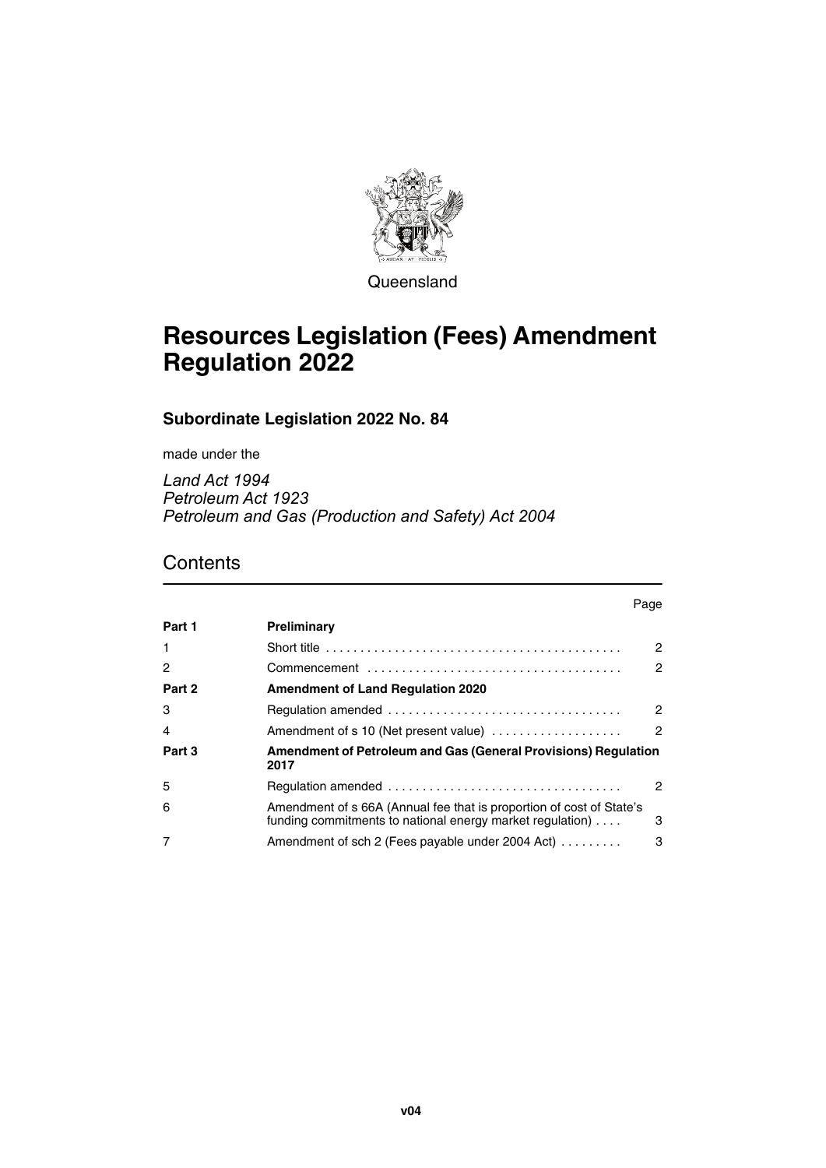

**Queensland** 

# **Resources Legislation (Fees) Amendment Regulation 2022**

**Subordinate Legislation 2022 No. 84**

made under the

*Land Act 1994 Petroleum Act 1923 Petroleum and Gas (Production and Safety) Act 2004*

### **Contents**

#### Page **[Part 1](#page-1-0) [Preliminary](#page-1-1)** [1](#page-1-2) [Short title . . . . . . . . . . . . . . . . . . . . . . . . . . . . . . . . . . . . . . . . . . . 2](#page-1-3) [2](#page-1-4) [Commencement . . . . . . . . . . . . . . . . . . . . . . . . . . . . . . . . . . . . . 2](#page-1-5) **[Part 2](#page-1-6) [Amendment of Land Regulation 2020](#page-1-7)** [3](#page-1-8) [Regulation amended . . . . . . . . . . . . . . . . . . . . . . . . . . . . . . . . . . 2](#page-1-9) [4](#page-1-10) [Amendment of s 10 \(Net present value\) . . . . . . . . . . . . . . . . . . . 2](#page-1-11) **[Part 3](#page-1-12) [Amendment of Petroleum and Gas \(General Provisions\) Regulation](#page-1-13)  [2017](#page-1-13)** [5](#page-1-14) [Regulation amended . . . . . . . . . . . . . . . . . . . . . . . . . . . . . . . . . . 2](#page-1-15) [6](#page-2-0) [Amendment of s 66A \(Annual fee that is proportion of cost of State's](#page-2-1)  [funding commitments to national energy market regulation\) . . . . 3](#page-2-1) [7](#page-2-2) **Amendment of sch 2 (Fees payable under 2004 Act)** . . . . . . . . . . . . 3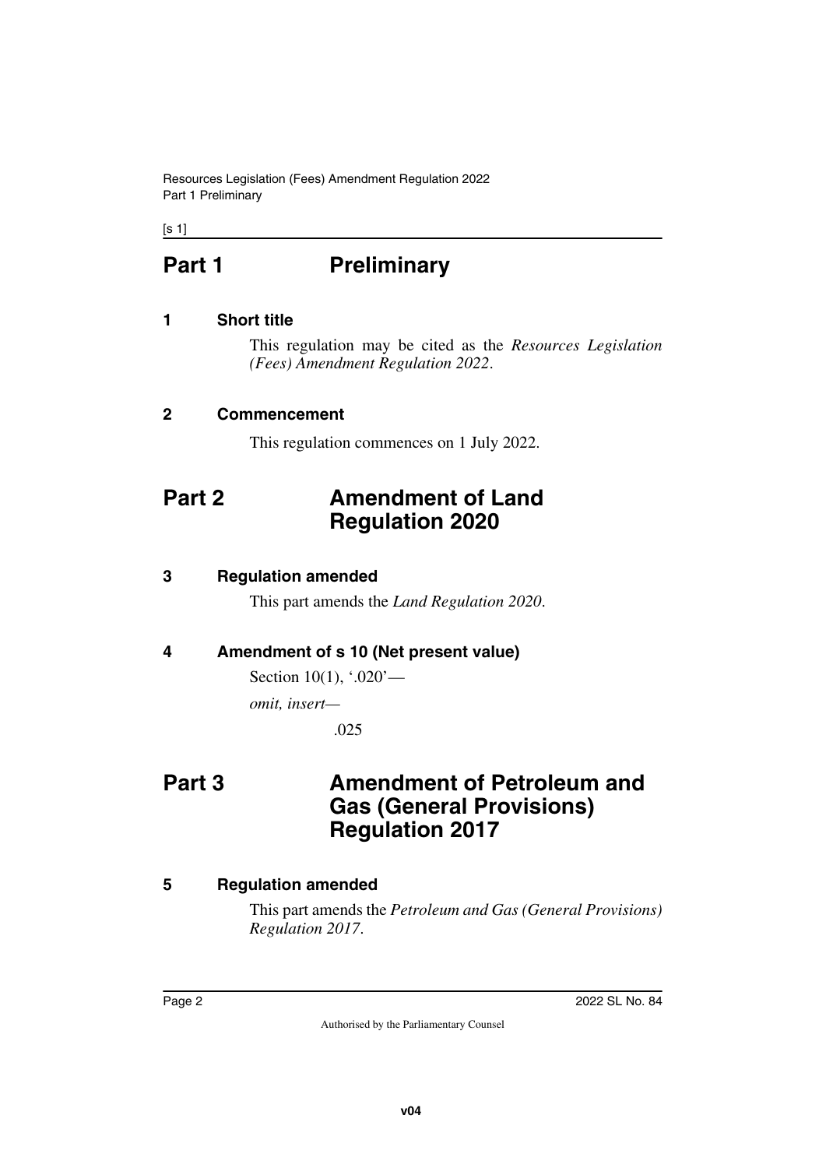Resources Legislation (Fees) Amendment Regulation 2022 Part 1 Preliminary

<span id="page-1-0"></span> $[s 1]$ 

# **Part 1** Preliminary

#### <span id="page-1-2"></span>**1 Short title**

<span id="page-1-3"></span><span id="page-1-1"></span>This regulation may be cited as the *Resources Legislation (Fees) Amendment Regulation 2022*.

#### <span id="page-1-4"></span>**2 Commencement**

<span id="page-1-7"></span><span id="page-1-5"></span>This regulation commences on 1 July 2022.

## <span id="page-1-6"></span>**Part 2 Amendment of Land Regulation 2020**

#### <span id="page-1-8"></span>**3 Regulation amended**

<span id="page-1-9"></span>This part amends the *Land Regulation 2020*.

#### <span id="page-1-10"></span>**4 Amendment of s 10 (Net present value)**

<span id="page-1-11"></span>Section 10(1), '.020'—

*omit, insert—*

<span id="page-1-13"></span>.025

## <span id="page-1-12"></span>**Part 3 Amendment of Petroleum and Gas (General Provisions) Regulation 2017**

#### <span id="page-1-14"></span>**5 Regulation amended**

<span id="page-1-15"></span>This part amends the *Petroleum and Gas (General Provisions) Regulation 2017*.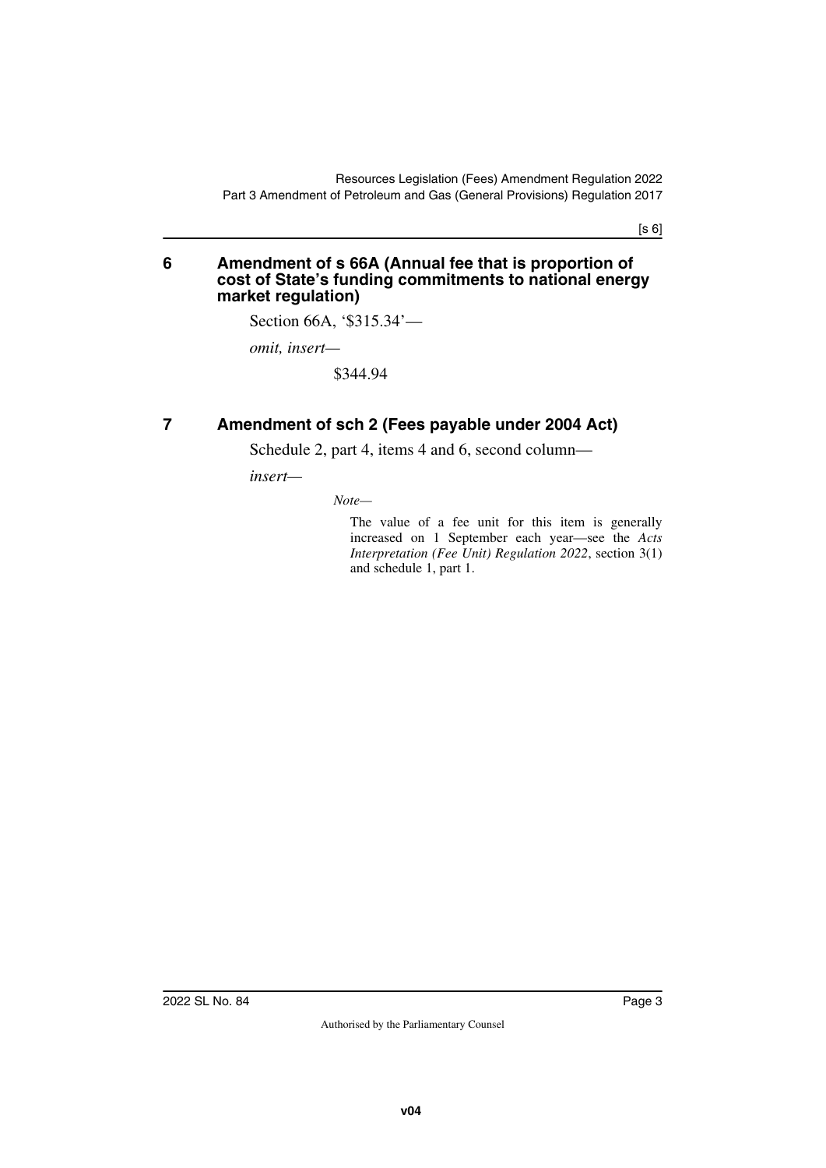[s 6]

#### <span id="page-2-1"></span><span id="page-2-0"></span>**6 Amendment of s 66A (Annual fee that is proportion of cost of State's funding commitments to national energy market regulation)**

Section 66A, '\$315.34'—

*omit, insert—*

\$344.94

#### <span id="page-2-2"></span>**7 Amendment of sch 2 (Fees payable under 2004 Act)**

<span id="page-2-3"></span>Schedule 2, part 4, items 4 and 6, second column—

*insert—*

*Note—*

The value of a fee unit for this item is generally increased on 1 September each year—see the *Acts Interpretation (Fee Unit) Regulation 2022*, section 3(1) and schedule 1, part 1.